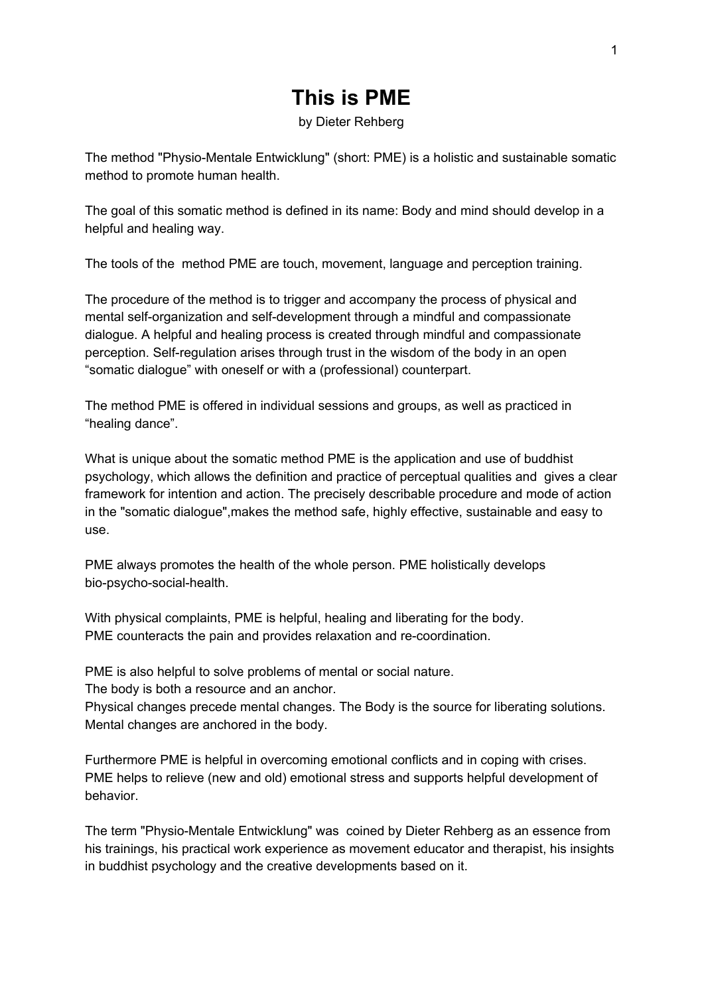# **This is PME**

by Dieter Rehberg

The method "Physio-Mentale Entwicklung" (short: PME) is a holistic and sustainable somatic method to promote human health.

The goal of this somatic method is defined in its name: Body and mind should develop in a helpful and healing way.

The tools of the method PME are touch, movement, language and perception training.

The procedure of the method is to trigger and accompany the process of physical and mental self-organization and self-development through a mindful and compassionate dialogue. A helpful and healing process is created through mindful and compassionate perception. Self-regulation arises through trust in the wisdom of the body in an open "somatic dialogue" with oneself or with a (professional) counterpart.

The method PME is offered in individual sessions and groups, as well as practiced in "healing dance".

What is unique about the somatic method PME is the application and use of buddhist psychology, which allows the definition and practice of perceptual qualities and gives a clear framework for intention and action. The precisely describable procedure and mode of action in the "somatic dialogue",makes the method safe, highly effective, sustainable and easy to use.

PME always promotes the health of the whole person. PME holistically develops bio-psycho-social-health.

With physical complaints, PME is helpful, healing and liberating for the body. PME counteracts the pain and provides relaxation and re-coordination.

PME is also helpful to solve problems of mental or social nature.

The body is both a resource and an anchor.

Physical changes precede mental changes. The Body is the source for liberating solutions. Mental changes are anchored in the body.

Furthermore PME is helpful in overcoming emotional conflicts and in coping with crises. PME helps to relieve (new and old) emotional stress and supports helpful development of behavior.

The term "Physio-Mentale Entwicklung" was coined by Dieter Rehberg as an essence from his trainings, his practical work experience as movement educator and therapist, his insights in buddhist psychology and the creative developments based on it.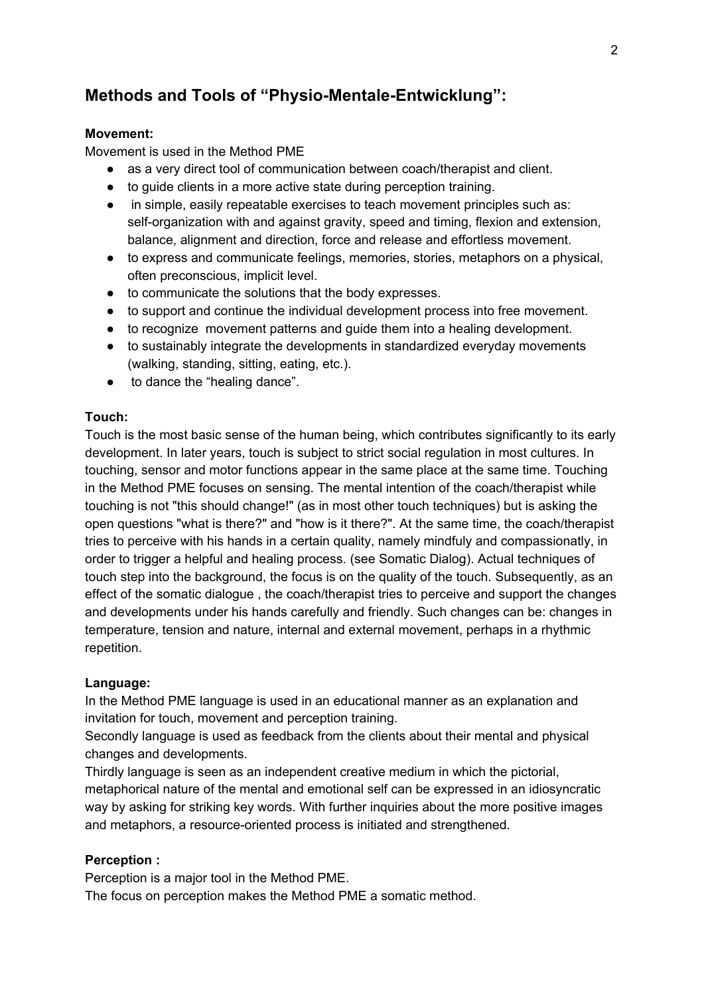# **Methods and Tools of "Physio-Mentale-Entwicklung":**

### **Movement:**

Movement is used in the Method PME

- as a very direct tool of communication between coach/therapist and client.
- to guide clients in a more active state during perception training.
- in simple, easily repeatable exercises to teach movement principles such as: self-organization with and against gravity, speed and timing, flexion and extension, balance, alignment and direction, force and release and effortless movement.
- to express and communicate feelings, memories, stories, metaphors on a physical, often preconscious, implicit level.
- to communicate the solutions that the body expresses.
- to support and continue the individual development process into free movement.
- to recognize movement patterns and guide them into a healing development.
- to sustainably integrate the developments in standardized everyday movements (walking, standing, sitting, eating, etc.).
- to dance the "healing dance".

### **Touch:**

Touch is the most basic sense of the human being, which contributes significantly to its early development. In later years, touch is subject to strict social regulation in most cultures. In touching, sensor and motor functions appear in the same place at the same time. Touching in the Method PME focuses on sensing. The mental intention of the coach/therapist while touching is not "this should change!" (as in most other touch techniques) but is asking the open questions "what is there?" and "how is it there?". At the same time, the coach/therapist tries to perceive with his hands in a certain quality, namely mindfuly and compassionatly, in order to trigger a helpful and healing process. (see Somatic Dialog). Actual techniques of touch step into the background, the focus is on the quality of the touch. Subsequently, as an effect of the somatic dialogue , the coach/therapist tries to perceive and support the changes and developments under his hands carefully and friendly. Such changes can be: changes in temperature, tension and nature, internal and external movement, perhaps in a rhythmic repetition.

### **Language:**

In the Method PME language is used in an educational manner as an explanation and invitation for touch, movement and perception training.

Secondly language is used as feedback from the clients about their mental and physical changes and developments.

Thirdly language is seen as an independent creative medium in which the pictorial, metaphorical nature of the mental and emotional self can be expressed in an idiosyncratic way by asking for striking key words. With further inquiries about the more positive images and metaphors, a resource-oriented process is initiated and strengthened.

### **Perception :**

Perception is a major tool in the Method PME.

The focus on perception makes the Method PME a somatic method.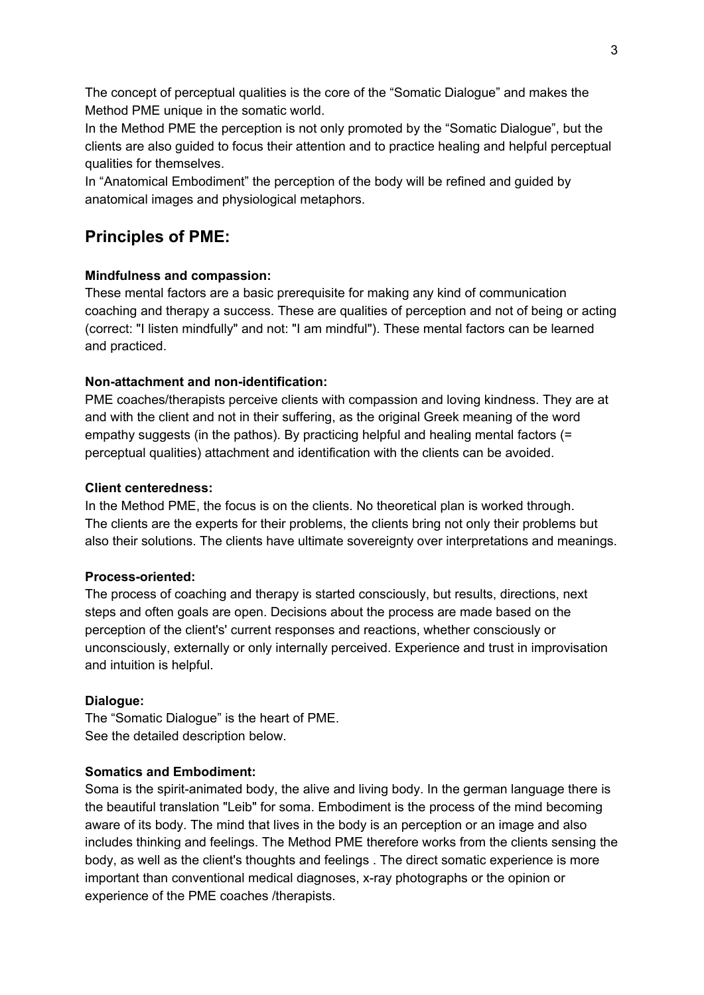The concept of perceptual qualities is the core of the "Somatic Dialogue" and makes the Method PME unique in the somatic world.

In the Method PME the perception is not only promoted by the "Somatic Dialogue", but the clients are also guided to focus their attention and to practice healing and helpful perceptual qualities for themselves.

In "Anatomical Embodiment" the perception of the body will be refined and guided by anatomical images and physiological metaphors.

# **Principles of PME:**

### **Mindfulness and compassion:**

These mental factors are a basic prerequisite for making any kind of communication coaching and therapy a success. These are qualities of perception and not of being or acting (correct: "I listen mindfully" and not: "I am mindful"). These mental factors can be learned and practiced.

### **Non-attachment and non-identification:**

PME coaches/therapists perceive clients with compassion and loving kindness. They are at and with the client and not in their suffering, as the original Greek meaning of the word empathy suggests (in the pathos). By practicing helpful and healing mental factors (= perceptual qualities) attachment and identification with the clients can be avoided.

### **Client centeredness:**

In the Method PME, the focus is on the clients. No theoretical plan is worked through. The clients are the experts for their problems, the clients bring not only their problems but also their solutions. The clients have ultimate sovereignty over interpretations and meanings.

### **Process-oriented:**

The process of coaching and therapy is started consciously, but results, directions, next steps and often goals are open. Decisions about the process are made based on the perception of the client's' current responses and reactions, whether consciously or unconsciously, externally or only internally perceived. Experience and trust in improvisation and intuition is helpful.

### **Dialogue:**

The "Somatic Dialogue" is the heart of PME. See the detailed description below.

### **Somatics and Embodiment:**

Soma is the spirit-animated body, the alive and living body. In the german language there is the beautiful translation "Leib" for soma. Embodiment is the process of the mind becoming aware of its body. The mind that lives in the body is an perception or an image and also includes thinking and feelings. The Method PME therefore works from the clients sensing the body, as well as the client's thoughts and feelings . The direct somatic experience is more important than conventional medical diagnoses, x-ray photographs or the opinion or experience of the PME coaches /therapists.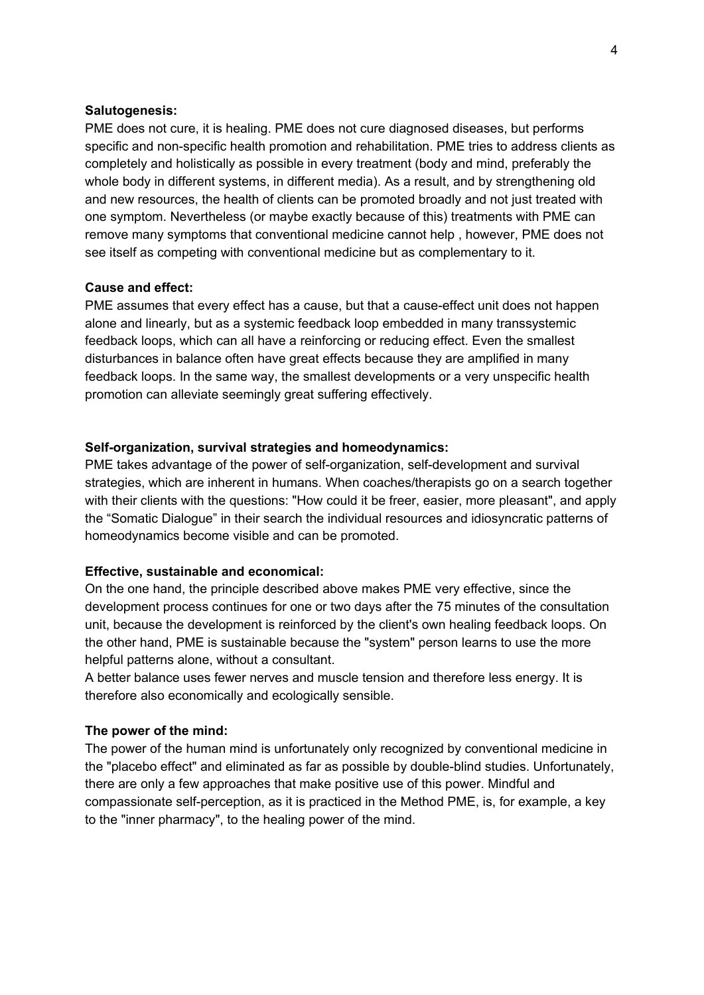### **Salutogenesis:**

PME does not cure, it is healing. PME does not cure diagnosed diseases, but performs specific and non-specific health promotion and rehabilitation. PME tries to address clients as completely and holistically as possible in every treatment (body and mind, preferably the whole body in different systems, in different media). As a result, and by strengthening old and new resources, the health of clients can be promoted broadly and not just treated with one symptom. Nevertheless (or maybe exactly because of this) treatments with PME can remove many symptoms that conventional medicine cannot help , however, PME does not see itself as competing with conventional medicine but as complementary to it.

### **Cause and effect:**

PME assumes that every effect has a cause, but that a cause-effect unit does not happen alone and linearly, but as a systemic feedback loop embedded in many transsystemic feedback loops, which can all have a reinforcing or reducing effect. Even the smallest disturbances in balance often have great effects because they are amplified in many feedback loops. In the same way, the smallest developments or a very unspecific health promotion can alleviate seemingly great suffering effectively.

#### **Self-organization, survival strategies and homeodynamics:**

PME takes advantage of the power of self-organization, self-development and survival strategies, which are inherent in humans. When coaches/therapists go on a search together with their clients with the questions: "How could it be freer, easier, more pleasant", and apply the "Somatic Dialogue" in their search the individual resources and idiosyncratic patterns of homeodynamics become visible and can be promoted.

#### **Effective, sustainable and economical:**

On the one hand, the principle described above makes PME very effective, since the development process continues for one or two days after the 75 minutes of the consultation unit, because the development is reinforced by the client's own healing feedback loops. On the other hand, PME is sustainable because the "system" person learns to use the more helpful patterns alone, without a consultant.

A better balance uses fewer nerves and muscle tension and therefore less energy. It is therefore also economically and ecologically sensible.

### **The power of the mind:**

The power of the human mind is unfortunately only recognized by conventional medicine in the "placebo effect" and eliminated as far as possible by double-blind studies. Unfortunately, there are only a few approaches that make positive use of this power. Mindful and compassionate self-perception, as it is practiced in the Method PME, is, for example, a key to the "inner pharmacy", to the healing power of the mind.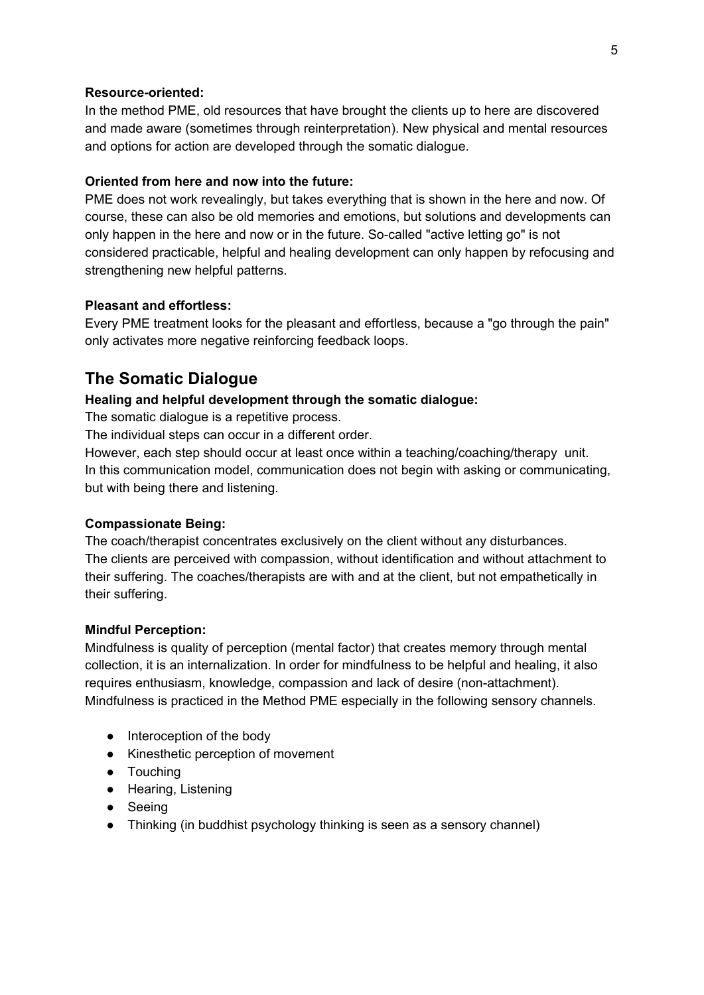### **Resource-oriented:**

In the method PME, old resources that have brought the clients up to here are discovered and made aware (sometimes through reinterpretation). New physical and mental resources and options for action are developed through the somatic dialogue.

### **Oriented from here and now into the future:**

PME does not work revealingly, but takes everything that is shown in the here and now. Of course, these can also be old memories and emotions, but solutions and developments can only happen in the here and now or in the future. So-called "active letting go" is not considered practicable, helpful and healing development can only happen by refocusing and strengthening new helpful patterns.

### **Pleasant and effortless:**

Every PME treatment looks for the pleasant and effortless, because a "go through the pain" only activates more negative reinforcing feedback loops.

### **The Somatic Dialogue**

### **Healing and helpful development through the somatic dialogue:**

The somatic dialogue is a repetitive process.

The individual steps can occur in a different order.

However, each step should occur at least once within a teaching/coaching/therapy unit. In this communication model, communication does not begin with asking or communicating, but with being there and listening.

### **Compassionate Being:**

The coach/therapist concentrates exclusively on the client without any disturbances. The clients are perceived with compassion, without identification and without attachment to their suffering. The coaches/therapists are with and at the client, but not empathetically in their suffering.

### **Mindful Perception:**

Mindfulness is quality of perception (mental factor) that creates memory through mental collection, it is an internalization. In order for mindfulness to be helpful and healing, it also requires enthusiasm, knowledge, compassion and lack of desire (non-attachment). Mindfulness is practiced in the Method PME especially in the following sensory channels.

- Interoception of the body
- Kinesthetic perception of movement
- Touching
- Hearing, Listening
- Seeing
- Thinking (in buddhist psychology thinking is seen as a sensory channel)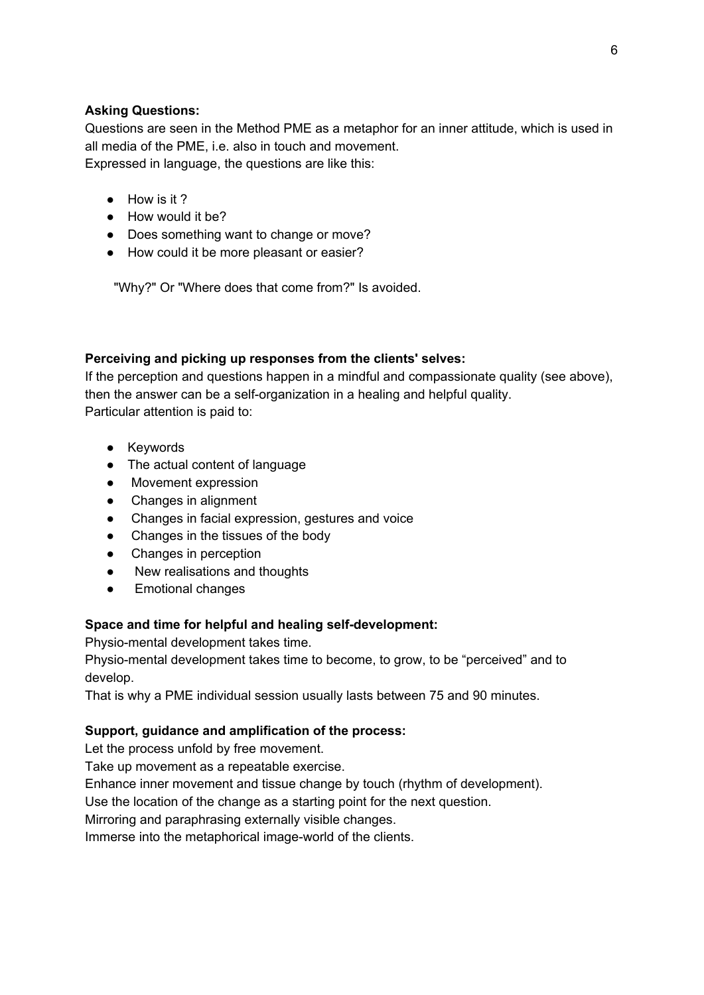### **Asking Questions:**

Questions are seen in the Method PME as a metaphor for an inner attitude, which is used in all media of the PME, i.e. also in touch and movement. Expressed in language, the questions are like this:

- How is it ?
- How would it be?
- Does something want to change or move?
- How could it be more pleasant or easier?

"Why?" Or "Where does that come from?" Is avoided.

### **Perceiving and picking up responses from the clients' selves:**

If the perception and questions happen in a mindful and compassionate quality (see above), then the answer can be a self-organization in a healing and helpful quality. Particular attention is paid to:

- Keywords
- The actual content of language
- Movement expression
- Changes in alignment
- Changes in facial expression, gestures and voice
- Changes in the tissues of the body
- Changes in perception
- New realisations and thoughts
- Emotional changes

### **Space and time for helpful and healing self-development:**

Physio-mental development takes time.

Physio-mental development takes time to become, to grow, to be "perceived" and to develop.

That is why a PME individual session usually lasts between 75 and 90 minutes.

### **Support, guidance and amplification of the process:**

Let the process unfold by free movement.

Take up movement as a repeatable exercise.

Enhance inner movement and tissue change by touch (rhythm of development).

Use the location of the change as a starting point for the next question.

Mirroring and paraphrasing externally visible changes.

Immerse into the metaphorical image-world of the clients.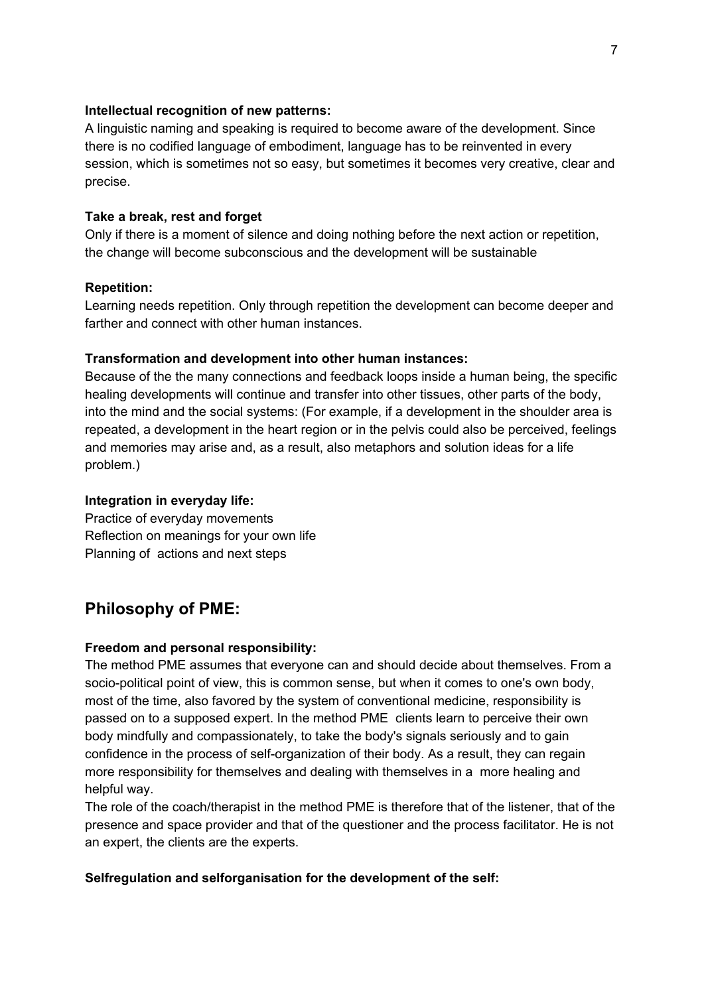### **Intellectual recognition of new patterns:**

A linguistic naming and speaking is required to become aware of the development. Since there is no codified language of embodiment, language has to be reinvented in every session, which is sometimes not so easy, but sometimes it becomes very creative, clear and precise.

### **Take a break, rest and forget**

Only if there is a moment of silence and doing nothing before the next action or repetition, the change will become subconscious and the development will be sustainable

### **Repetition:**

Learning needs repetition. Only through repetition the development can become deeper and farther and connect with other human instances.

### **Transformation and development into other human instances:**

Because of the the many connections and feedback loops inside a human being, the specific healing developments will continue and transfer into other tissues, other parts of the body, into the mind and the social systems: (For example, if a development in the shoulder area is repeated, a development in the heart region or in the pelvis could also be perceived, feelings and memories may arise and, as a result, also metaphors and solution ideas for a life problem.)

### **Integration in everyday life:**

Practice of everyday movements Reflection on meanings for your own life Planning of actions and next steps

### **Philosophy of PME:**

### **Freedom and personal responsibility:**

The method PME assumes that everyone can and should decide about themselves. From a socio-political point of view, this is common sense, but when it comes to one's own body, most of the time, also favored by the system of conventional medicine, responsibility is passed on to a supposed expert. In the method PME clients learn to perceive their own body mindfully and compassionately, to take the body's signals seriously and to gain confidence in the process of self-organization of their body. As a result, they can regain more responsibility for themselves and dealing with themselves in a more healing and helpful way.

The role of the coach/therapist in the method PME is therefore that of the listener, that of the presence and space provider and that of the questioner and the process facilitator. He is not an expert, the clients are the experts.

### **Selfregulation and selforganisation for the development of the self:**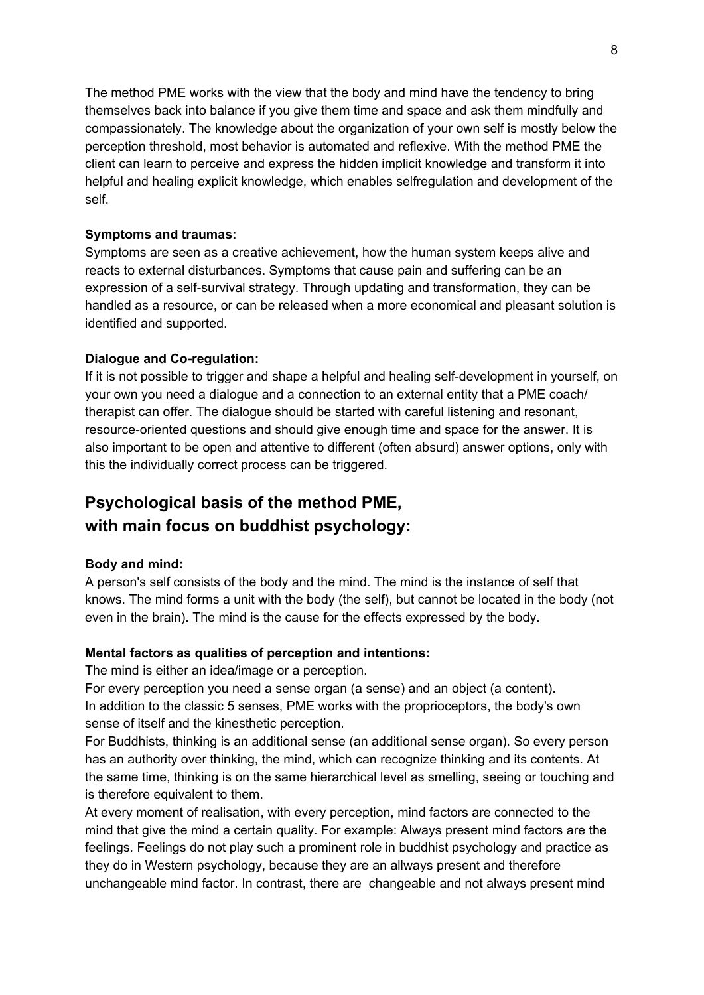The method PME works with the view that the body and mind have the tendency to bring themselves back into balance if you give them time and space and ask them mindfully and compassionately. The knowledge about the organization of your own self is mostly below the perception threshold, most behavior is automated and reflexive. With the method PME the client can learn to perceive and express the hidden implicit knowledge and transform it into helpful and healing explicit knowledge, which enables selfregulation and development of the self.

### **Symptoms and traumas:**

Symptoms are seen as a creative achievement, how the human system keeps alive and reacts to external disturbances. Symptoms that cause pain and suffering can be an expression of a self-survival strategy. Through updating and transformation, they can be handled as a resource, or can be released when a more economical and pleasant solution is identified and supported.

### **Dialogue and Co-regulation:**

If it is not possible to trigger and shape a helpful and healing self-development in yourself, on your own you need a dialogue and a connection to an external entity that a PME coach/ therapist can offer. The dialogue should be started with careful listening and resonant, resource-oriented questions and should give enough time and space for the answer. It is also important to be open and attentive to different (often absurd) answer options, only with this the individually correct process can be triggered.

# **Psychological basis of the method PME, with main focus on buddhist psychology:**

### **Body and mind:**

A person's self consists of the body and the mind. The mind is the instance of self that knows. The mind forms a unit with the body (the self), but cannot be located in the body (not even in the brain). The mind is the cause for the effects expressed by the body.

### **Mental factors as qualities of perception and intentions:**

The mind is either an idea/image or a perception.

For every perception you need a sense organ (a sense) and an object (a content). In addition to the classic 5 senses, PME works with the proprioceptors, the body's own sense of itself and the kinesthetic perception.

For Buddhists, thinking is an additional sense (an additional sense organ). So every person has an authority over thinking, the mind, which can recognize thinking and its contents. At the same time, thinking is on the same hierarchical level as smelling, seeing or touching and is therefore equivalent to them.

At every moment of realisation, with every perception, mind factors are connected to the mind that give the mind a certain quality. For example: Always present mind factors are the feelings. Feelings do not play such a prominent role in buddhist psychology and practice as they do in Western psychology, because they are an allways present and therefore unchangeable mind factor. In contrast, there are changeable and not always present mind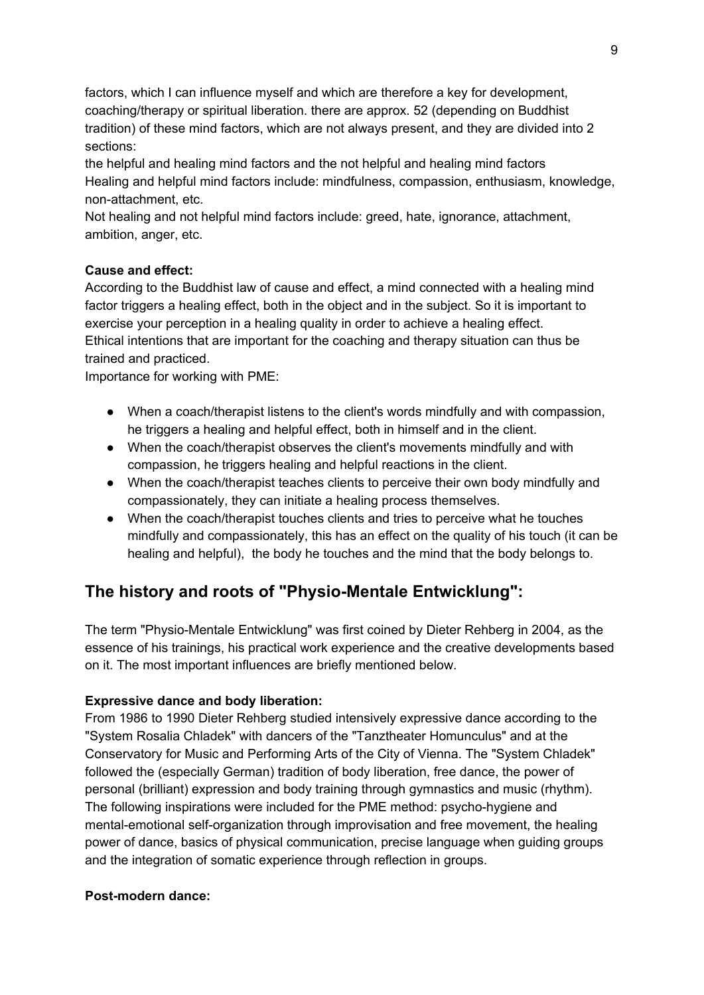factors, which I can influence myself and which are therefore a key for development, coaching/therapy or spiritual liberation. there are approx. 52 (depending on Buddhist tradition) of these mind factors, which are not always present, and they are divided into 2 sections:

the helpful and healing mind factors and the not helpful and healing mind factors Healing and helpful mind factors include: mindfulness, compassion, enthusiasm, knowledge, non-attachment, etc.

Not healing and not helpful mind factors include: greed, hate, ignorance, attachment, ambition, anger, etc.

### **Cause and effect:**

According to the Buddhist law of cause and effect, a mind connected with a healing mind factor triggers a healing effect, both in the object and in the subject. So it is important to exercise your perception in a healing quality in order to achieve a healing effect. Ethical intentions that are important for the coaching and therapy situation can thus be trained and practiced.

Importance for working with PME:

- When a coach/therapist listens to the client's words mindfully and with compassion, he triggers a healing and helpful effect, both in himself and in the client.
- When the coach/therapist observes the client's movements mindfully and with compassion, he triggers healing and helpful reactions in the client.
- When the coach/therapist teaches clients to perceive their own body mindfully and compassionately, they can initiate a healing process themselves.
- When the coach/therapist touches clients and tries to perceive what he touches mindfully and compassionately, this has an effect on the quality of his touch (it can be healing and helpful), the body he touches and the mind that the body belongs to.

# **The history and roots of "Physio-Mentale Entwicklung":**

The term "Physio-Mentale Entwicklung" was first coined by Dieter Rehberg in 2004, as the essence of his trainings, his practical work experience and the creative developments based on it. The most important influences are briefly mentioned below.

### **Expressive dance and body liberation:**

From 1986 to 1990 Dieter Rehberg studied intensively expressive dance according to the "System Rosalia Chladek" with dancers of the "Tanztheater Homunculus" and at the Conservatory for Music and Performing Arts of the City of Vienna. The "System Chladek" followed the (especially German) tradition of body liberation, free dance, the power of personal (brilliant) expression and body training through gymnastics and music (rhythm). The following inspirations were included for the PME method: psycho-hygiene and mental-emotional self-organization through improvisation and free movement, the healing power of dance, basics of physical communication, precise language when guiding groups and the integration of somatic experience through reflection in groups.

### **Post-modern dance:**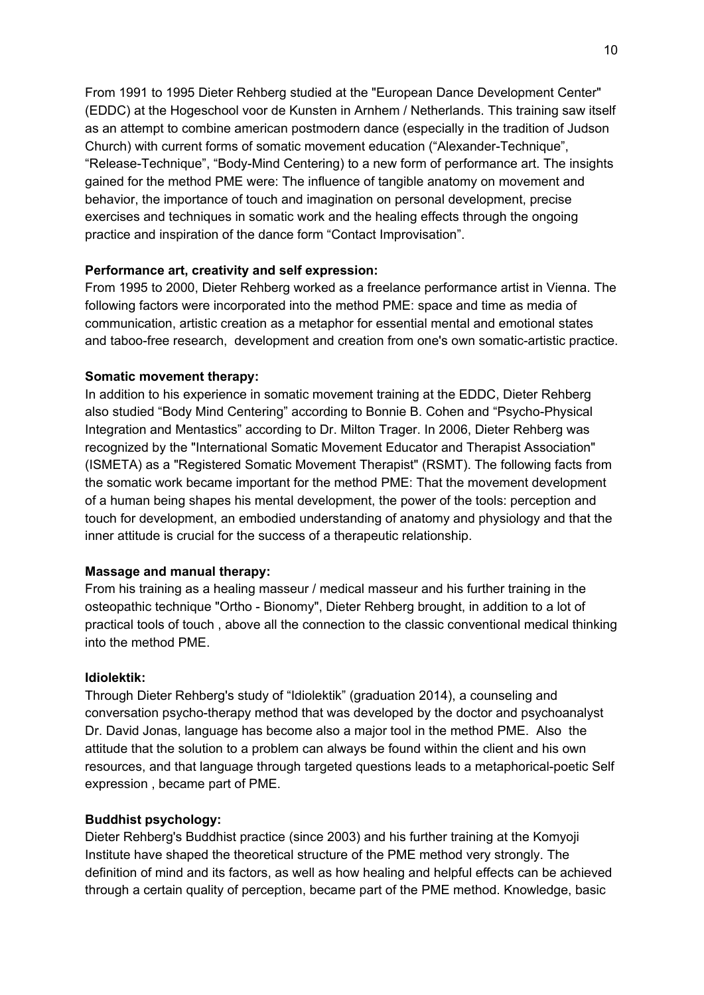From 1991 to 1995 Dieter Rehberg studied at the "European Dance Development Center" (EDDC) at the Hogeschool voor de Kunsten in Arnhem / Netherlands. This training saw itself as an attempt to combine american postmodern dance (especially in the tradition of Judson Church) with current forms of somatic movement education ("Alexander-Technique", "Release-Technique", "Body-Mind Centering) to a new form of performance art. The insights gained for the method PME were: The influence of tangible anatomy on movement and behavior, the importance of touch and imagination on personal development, precise exercises and techniques in somatic work and the healing effects through the ongoing practice and inspiration of the dance form "Contact Improvisation".

### **Performance art, creativity and self expression:**

From 1995 to 2000, Dieter Rehberg worked as a freelance performance artist in Vienna. The following factors were incorporated into the method PME: space and time as media of communication, artistic creation as a metaphor for essential mental and emotional states and taboo-free research, development and creation from one's own somatic-artistic practice.

### **Somatic movement therapy:**

In addition to his experience in somatic movement training at the EDDC, Dieter Rehberg also studied "Body Mind Centering" according to Bonnie B. Cohen and "Psycho-Physical Integration and Mentastics" according to Dr. Milton Trager. In 2006, Dieter Rehberg was recognized by the "International Somatic Movement Educator and Therapist Association" (ISMETA) as a "Registered Somatic Movement Therapist" (RSMT). The following facts from the somatic work became important for the method PME: That the movement development of a human being shapes his mental development, the power of the tools: perception and touch for development, an embodied understanding of anatomy and physiology and that the inner attitude is crucial for the success of a therapeutic relationship.

#### **Massage and manual therapy:**

From his training as a healing masseur / medical masseur and his further training in the osteopathic technique "Ortho - Bionomy", Dieter Rehberg brought, in addition to a lot of practical tools of touch , above all the connection to the classic conventional medical thinking into the method PME.

### **Idiolektik:**

Through Dieter Rehberg's study of "Idiolektik" (graduation 2014), a counseling and conversation psycho-therapy method that was developed by the doctor and psychoanalyst Dr. David Jonas, language has become also a major tool in the method PME. Also the attitude that the solution to a problem can always be found within the client and his own resources, and that language through targeted questions leads to a metaphorical-poetic Self expression , became part of PME.

### **Buddhist psychology:**

Dieter Rehberg's Buddhist practice (since 2003) and his further training at the Komyoji Institute have shaped the theoretical structure of the PME method very strongly. The definition of mind and its factors, as well as how healing and helpful effects can be achieved through a certain quality of perception, became part of the PME method. Knowledge, basic